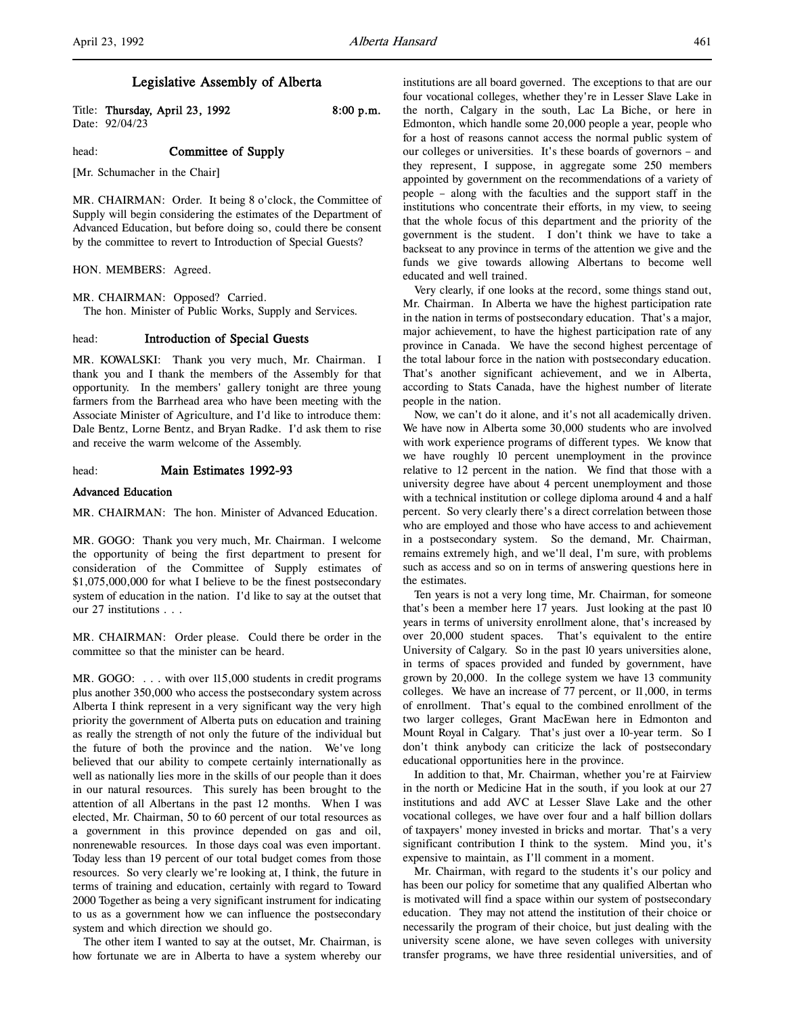# Legislative Assembly of Alberta

Title: Thursday, April 23, 1992 8:00 p.m. Date: 92/04/23

### head: **Committee of Supply**

[Mr. Schumacher in the Chair]

MR. CHAIRMAN: Order. It being 8 o'clock, the Committee of Supply will begin considering the estimates of the Department of Advanced Education, but before doing so, could there be consent by the committee to revert to Introduction of Special Guests?

HON. MEMBERS: Agreed.

MR. CHAIRMAN: Opposed? Carried. The hon. Minister of Public Works, Supply and Services.

## head: Introduction of Special Guests

MR. KOWALSKI: Thank you very much, Mr. Chairman. I thank you and I thank the members of the Assembly for that opportunity. In the members' gallery tonight are three young farmers from the Barrhead area who have been meeting with the Associate Minister of Agriculture, and I'd like to introduce them: Dale Bentz, Lorne Bentz, and Bryan Radke. I'd ask them to rise and receive the warm welcome of the Assembly.

### head: Main Estimates 1992-93

### Advanced Education

MR. CHAIRMAN: The hon. Minister of Advanced Education.

MR. GOGO: Thank you very much, Mr. Chairman. I welcome the opportunity of being the first department to present for consideration of the Committee of Supply estimates of \$1,075,000,000 for what I believe to be the finest postsecondary system of education in the nation. I'd like to say at the outset that our 27 institutions . . .

MR. CHAIRMAN: Order please. Could there be order in the committee so that the minister can be heard.

MR. GOGO: . . . with over 115,000 students in credit programs plus another 350,000 who access the postsecondary system across Alberta I think represent in a very significant way the very high priority the government of Alberta puts on education and training as really the strength of not only the future of the individual but the future of both the province and the nation. We've long believed that our ability to compete certainly internationally as well as nationally lies more in the skills of our people than it does in our natural resources. This surely has been brought to the attention of all Albertans in the past 12 months. When I was elected, Mr. Chairman, 50 to 60 percent of our total resources as a government in this province depended on gas and oil, nonrenewable resources. In those days coal was even important. Today less than 19 percent of our total budget comes from those resources. So very clearly we're looking at, I think, the future in terms of training and education, certainly with regard to Toward 2000 Together as being a very significant instrument for indicating to us as a government how we can influence the postsecondary system and which direction we should go.

The other item I wanted to say at the outset, Mr. Chairman, is how fortunate we are in Alberta to have a system whereby our

institutions are all board governed. The exceptions to that are our four vocational colleges, whether they're in Lesser Slave Lake in the north, Calgary in the south, Lac La Biche, or here in Edmonton, which handle some 20,000 people a year, people who for a host of reasons cannot access the normal public system of our colleges or universities. It's these boards of governors – and they represent, I suppose, in aggregate some 250 members appointed by government on the recommendations of a variety of people – along with the faculties and the support staff in the institutions who concentrate their efforts, in my view, to seeing that the whole focus of this department and the priority of the government is the student. I don't think we have to take a backseat to any province in terms of the attention we give and the funds we give towards allowing Albertans to become well educated and well trained.

Very clearly, if one looks at the record, some things stand out, Mr. Chairman. In Alberta we have the highest participation rate in the nation in terms of postsecondary education. That's a major, major achievement, to have the highest participation rate of any province in Canada. We have the second highest percentage of the total labour force in the nation with postsecondary education. That's another significant achievement, and we in Alberta, according to Stats Canada, have the highest number of literate people in the nation.

Now, we can't do it alone, and it's not all academically driven. We have now in Alberta some 30,000 students who are involved with work experience programs of different types. We know that we have roughly 10 percent unemployment in the province relative to 12 percent in the nation. We find that those with a university degree have about 4 percent unemployment and those with a technical institution or college diploma around 4 and a half percent. So very clearly there's a direct correlation between those who are employed and those who have access to and achievement in a postsecondary system. So the demand, Mr. Chairman, remains extremely high, and we'll deal, I'm sure, with problems such as access and so on in terms of answering questions here in the estimates.

Ten years is not a very long time, Mr. Chairman, for someone that's been a member here 17 years. Just looking at the past 10 years in terms of university enrollment alone, that's increased by over 20,000 student spaces. That's equivalent to the entire University of Calgary. So in the past 10 years universities alone, in terms of spaces provided and funded by government, have grown by 20,000. In the college system we have 13 community colleges. We have an increase of 77 percent, or 11,000, in terms of enrollment. That's equal to the combined enrollment of the two larger colleges, Grant MacEwan here in Edmonton and Mount Royal in Calgary. That's just over a 10-year term. So I don't think anybody can criticize the lack of postsecondary educational opportunities here in the province.

In addition to that, Mr. Chairman, whether you're at Fairview in the north or Medicine Hat in the south, if you look at our 27 institutions and add AVC at Lesser Slave Lake and the other vocational colleges, we have over four and a half billion dollars of taxpayers' money invested in bricks and mortar. That's a very significant contribution I think to the system. Mind you, it's expensive to maintain, as I'll comment in a moment.

Mr. Chairman, with regard to the students it's our policy and has been our policy for sometime that any qualified Albertan who is motivated will find a space within our system of postsecondary education. They may not attend the institution of their choice or necessarily the program of their choice, but just dealing with the university scene alone, we have seven colleges with university transfer programs, we have three residential universities, and of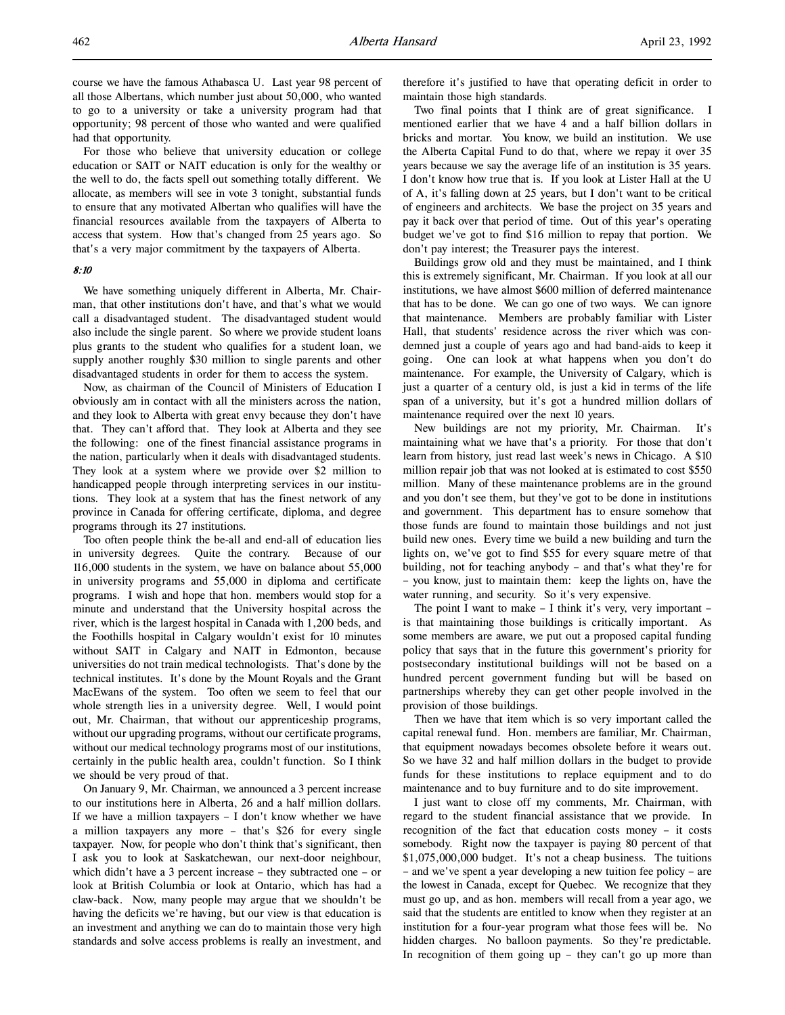For those who believe that university education or college education or SAIT or NAIT education is only for the wealthy or the well to do, the facts spell out something totally different. We allocate, as members will see in vote 3 tonight, substantial funds to ensure that any motivated Albertan who qualifies will have the financial resources available from the taxpayers of Alberta to access that system. How that's changed from 25 years ago. So that's a very major commitment by the taxpayers of Alberta.

### 8:10

We have something uniquely different in Alberta, Mr. Chairman, that other institutions don't have, and that's what we would call a disadvantaged student. The disadvantaged student would also include the single parent. So where we provide student loans plus grants to the student who qualifies for a student loan, we supply another roughly \$30 million to single parents and other disadvantaged students in order for them to access the system.

Now, as chairman of the Council of Ministers of Education I obviously am in contact with all the ministers across the nation, and they look to Alberta with great envy because they don't have that. They can't afford that. They look at Alberta and they see the following: one of the finest financial assistance programs in the nation, particularly when it deals with disadvantaged students. They look at a system where we provide over \$2 million to handicapped people through interpreting services in our institutions. They look at a system that has the finest network of any province in Canada for offering certificate, diploma, and degree programs through its 27 institutions.

Too often people think the be-all and end-all of education lies in university degrees. Quite the contrary. Because of our 116,000 students in the system, we have on balance about 55,000 in university programs and 55,000 in diploma and certificate programs. I wish and hope that hon. members would stop for a minute and understand that the University hospital across the river, which is the largest hospital in Canada with 1,200 beds, and the Foothills hospital in Calgary wouldn't exist for 10 minutes without SAIT in Calgary and NAIT in Edmonton, because universities do not train medical technologists. That's done by the technical institutes. It's done by the Mount Royals and the Grant MacEwans of the system. Too often we seem to feel that our whole strength lies in a university degree. Well, I would point out, Mr. Chairman, that without our apprenticeship programs, without our upgrading programs, without our certificate programs, without our medical technology programs most of our institutions, certainly in the public health area, couldn't function. So I think we should be very proud of that.

On January 9, Mr. Chairman, we announced a 3 percent increase to our institutions here in Alberta, 26 and a half million dollars. If we have a million taxpayers – I don't know whether we have a million taxpayers any more – that's \$26 for every single taxpayer. Now, for people who don't think that's significant, then I ask you to look at Saskatchewan, our next-door neighbour, which didn't have a 3 percent increase – they subtracted one – or look at British Columbia or look at Ontario, which has had a claw-back. Now, many people may argue that we shouldn't be having the deficits we're having, but our view is that education is an investment and anything we can do to maintain those very high standards and solve access problems is really an investment, and

therefore it's justified to have that operating deficit in order to maintain those high standards.

Two final points that I think are of great significance. I mentioned earlier that we have 4 and a half billion dollars in bricks and mortar. You know, we build an institution. We use the Alberta Capital Fund to do that, where we repay it over 35 years because we say the average life of an institution is 35 years. I don't know how true that is. If you look at Lister Hall at the U of A, it's falling down at 25 years, but I don't want to be critical of engineers and architects. We base the project on 35 years and pay it back over that period of time. Out of this year's operating budget we've got to find \$16 million to repay that portion. We don't pay interest; the Treasurer pays the interest.

Buildings grow old and they must be maintained, and I think this is extremely significant, Mr. Chairman. If you look at all our institutions, we have almost \$600 million of deferred maintenance that has to be done. We can go one of two ways. We can ignore that maintenance. Members are probably familiar with Lister Hall, that students' residence across the river which was condemned just a couple of years ago and had band-aids to keep it going. One can look at what happens when you don't do maintenance. For example, the University of Calgary, which is just a quarter of a century old, is just a kid in terms of the life span of a university, but it's got a hundred million dollars of maintenance required over the next 10 years.

New buildings are not my priority, Mr. Chairman. It's maintaining what we have that's a priority. For those that don't learn from history, just read last week's news in Chicago. A \$10 million repair job that was not looked at is estimated to cost \$550 million. Many of these maintenance problems are in the ground and you don't see them, but they've got to be done in institutions and government. This department has to ensure somehow that those funds are found to maintain those buildings and not just build new ones. Every time we build a new building and turn the lights on, we've got to find \$55 for every square metre of that building, not for teaching anybody – and that's what they're for – you know, just to maintain them: keep the lights on, have the water running, and security. So it's very expensive.

The point I want to make  $-$  I think it's very, very important  $$ is that maintaining those buildings is critically important. As some members are aware, we put out a proposed capital funding policy that says that in the future this government's priority for postsecondary institutional buildings will not be based on a hundred percent government funding but will be based on partnerships whereby they can get other people involved in the provision of those buildings.

Then we have that item which is so very important called the capital renewal fund. Hon. members are familiar, Mr. Chairman, that equipment nowadays becomes obsolete before it wears out. So we have 32 and half million dollars in the budget to provide funds for these institutions to replace equipment and to do maintenance and to buy furniture and to do site improvement.

I just want to close off my comments, Mr. Chairman, with regard to the student financial assistance that we provide. In recognition of the fact that education costs money – it costs somebody. Right now the taxpayer is paying 80 percent of that \$1,075,000,000 budget. It's not a cheap business. The tuitions – and we've spent a year developing a new tuition fee policy – are the lowest in Canada, except for Quebec. We recognize that they must go up, and as hon. members will recall from a year ago, we said that the students are entitled to know when they register at an institution for a four-year program what those fees will be. No hidden charges. No balloon payments. So they're predictable. In recognition of them going  $up$  – they can't go up more than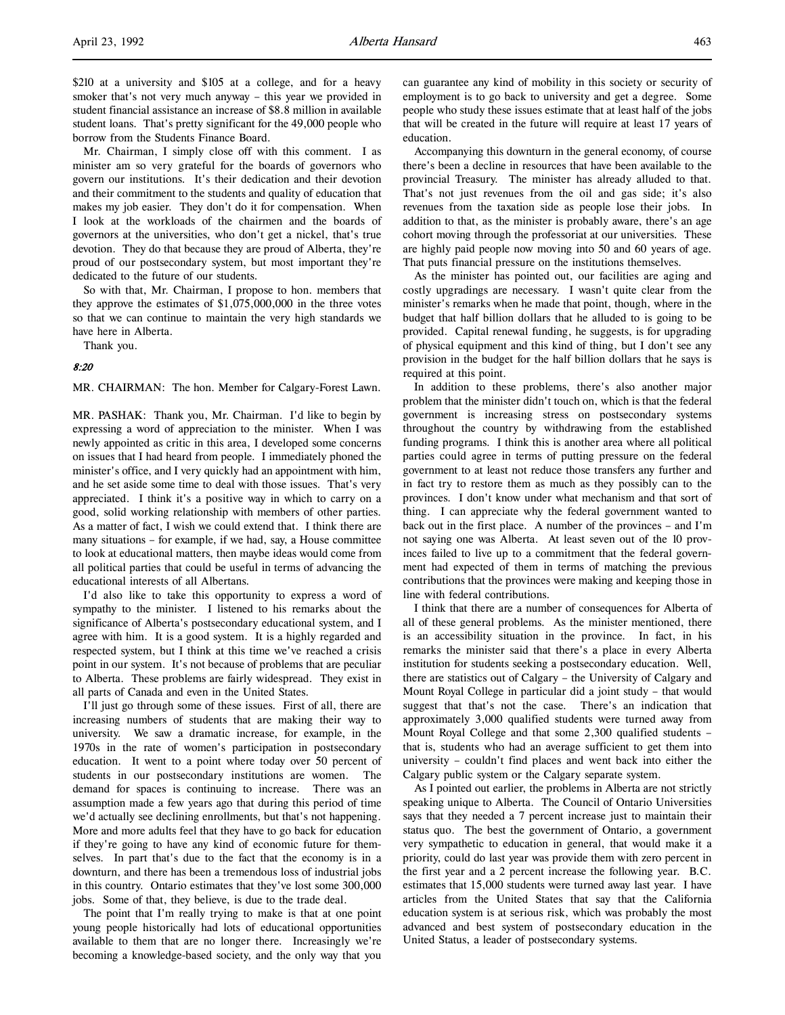\$210 at a university and \$105 at a college, and for a heavy smoker that's not very much anyway – this year we provided in student financial assistance an increase of \$8.8 million in available student loans. That's pretty significant for the 49,000 people who borrow from the Students Finance Board.

Mr. Chairman, I simply close off with this comment. I as minister am so very grateful for the boards of governors who govern our institutions. It's their dedication and their devotion and their commitment to the students and quality of education that makes my job easier. They don't do it for compensation. When I look at the workloads of the chairmen and the boards of governors at the universities, who don't get a nickel, that's true devotion. They do that because they are proud of Alberta, they're proud of our postsecondary system, but most important they're dedicated to the future of our students.

So with that, Mr. Chairman, I propose to hon. members that they approve the estimates of \$1,075,000,000 in the three votes so that we can continue to maintain the very high standards we have here in Alberta.

Thank you.

### 8:20

MR. CHAIRMAN: The hon. Member for Calgary-Forest Lawn.

MR. PASHAK: Thank you, Mr. Chairman. I'd like to begin by expressing a word of appreciation to the minister. When I was newly appointed as critic in this area, I developed some concerns on issues that I had heard from people. I immediately phoned the minister's office, and I very quickly had an appointment with him, and he set aside some time to deal with those issues. That's very appreciated. I think it's a positive way in which to carry on a good, solid working relationship with members of other parties. As a matter of fact, I wish we could extend that. I think there are many situations – for example, if we had, say, a House committee to look at educational matters, then maybe ideas would come from all political parties that could be useful in terms of advancing the educational interests of all Albertans.

I'd also like to take this opportunity to express a word of sympathy to the minister. I listened to his remarks about the significance of Alberta's postsecondary educational system, and I agree with him. It is a good system. It is a highly regarded and respected system, but I think at this time we've reached a crisis point in our system. It's not because of problems that are peculiar to Alberta. These problems are fairly widespread. They exist in all parts of Canada and even in the United States.

I'll just go through some of these issues. First of all, there are increasing numbers of students that are making their way to university. We saw a dramatic increase, for example, in the 1970s in the rate of women's participation in postsecondary education. It went to a point where today over 50 percent of students in our postsecondary institutions are women. The demand for spaces is continuing to increase. There was an assumption made a few years ago that during this period of time we'd actually see declining enrollments, but that's not happening. More and more adults feel that they have to go back for education if they're going to have any kind of economic future for themselves. In part that's due to the fact that the economy is in a downturn, and there has been a tremendous loss of industrial jobs in this country. Ontario estimates that they've lost some 300,000 jobs. Some of that, they believe, is due to the trade deal.

The point that I'm really trying to make is that at one point young people historically had lots of educational opportunities available to them that are no longer there. Increasingly we're becoming a knowledge-based society, and the only way that you

can guarantee any kind of mobility in this society or security of employment is to go back to university and get a degree. Some people who study these issues estimate that at least half of the jobs that will be created in the future will require at least 17 years of education.

Accompanying this downturn in the general economy, of course there's been a decline in resources that have been available to the provincial Treasury. The minister has already alluded to that. That's not just revenues from the oil and gas side; it's also revenues from the taxation side as people lose their jobs. In addition to that, as the minister is probably aware, there's an age cohort moving through the professoriat at our universities. These are highly paid people now moving into 50 and 60 years of age. That puts financial pressure on the institutions themselves.

As the minister has pointed out, our facilities are aging and costly upgradings are necessary. I wasn't quite clear from the minister's remarks when he made that point, though, where in the budget that half billion dollars that he alluded to is going to be provided. Capital renewal funding, he suggests, is for upgrading of physical equipment and this kind of thing, but I don't see any provision in the budget for the half billion dollars that he says is required at this point.

In addition to these problems, there's also another major problem that the minister didn't touch on, which is that the federal government is increasing stress on postsecondary systems throughout the country by withdrawing from the established funding programs. I think this is another area where all political parties could agree in terms of putting pressure on the federal government to at least not reduce those transfers any further and in fact try to restore them as much as they possibly can to the provinces. I don't know under what mechanism and that sort of thing. I can appreciate why the federal government wanted to back out in the first place. A number of the provinces – and I'm not saying one was Alberta. At least seven out of the 10 provinces failed to live up to a commitment that the federal government had expected of them in terms of matching the previous contributions that the provinces were making and keeping those in line with federal contributions.

I think that there are a number of consequences for Alberta of all of these general problems. As the minister mentioned, there is an accessibility situation in the province. In fact, in his remarks the minister said that there's a place in every Alberta institution for students seeking a postsecondary education. Well, there are statistics out of Calgary – the University of Calgary and Mount Royal College in particular did a joint study – that would suggest that that's not the case. There's an indication that approximately 3,000 qualified students were turned away from Mount Royal College and that some 2,300 qualified students – that is, students who had an average sufficient to get them into university – couldn't find places and went back into either the Calgary public system or the Calgary separate system.

As I pointed out earlier, the problems in Alberta are not strictly speaking unique to Alberta. The Council of Ontario Universities says that they needed a 7 percent increase just to maintain their status quo. The best the government of Ontario, a government very sympathetic to education in general, that would make it a priority, could do last year was provide them with zero percent in the first year and a 2 percent increase the following year. B.C. estimates that 15,000 students were turned away last year. I have articles from the United States that say that the California education system is at serious risk, which was probably the most advanced and best system of postsecondary education in the United Status, a leader of postsecondary systems.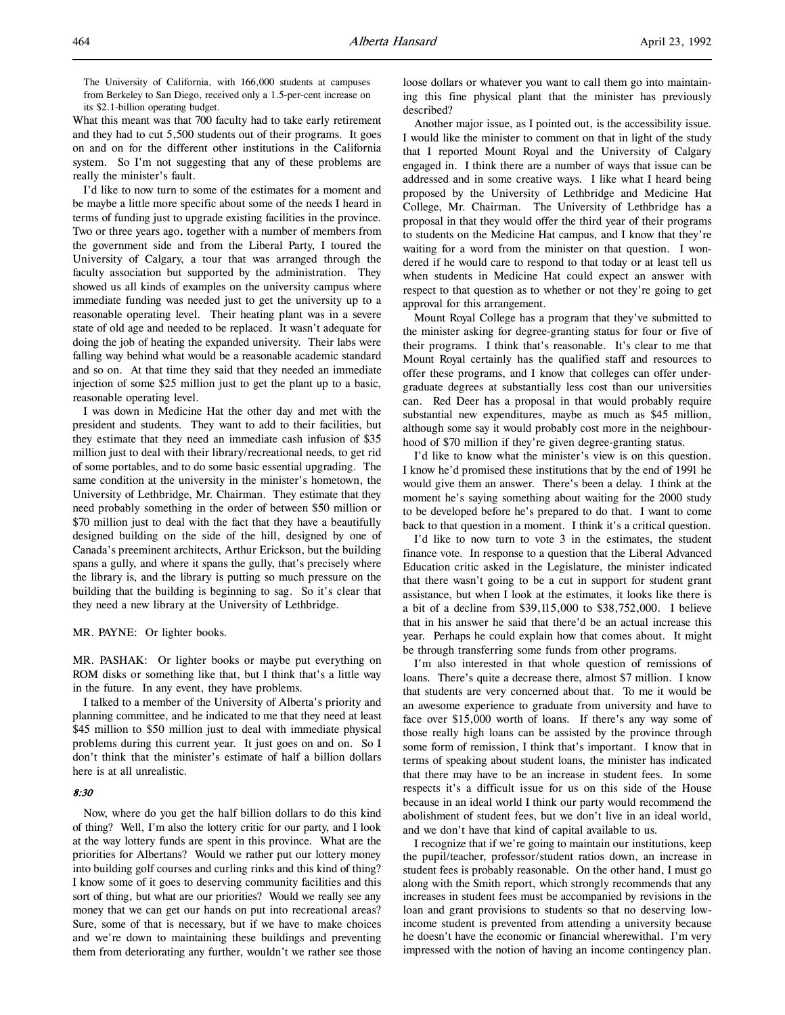The University of California, with 166,000 students at campuses from Berkeley to San Diego, received only a 1.5-per-cent increase on its \$2.1-billion operating budget.

What this meant was that 700 faculty had to take early retirement and they had to cut 5,500 students out of their programs. It goes on and on for the different other institutions in the California system. So I'm not suggesting that any of these problems are really the minister's fault.

I'd like to now turn to some of the estimates for a moment and be maybe a little more specific about some of the needs I heard in terms of funding just to upgrade existing facilities in the province. Two or three years ago, together with a number of members from the government side and from the Liberal Party, I toured the University of Calgary, a tour that was arranged through the faculty association but supported by the administration. They showed us all kinds of examples on the university campus where immediate funding was needed just to get the university up to a reasonable operating level. Their heating plant was in a severe state of old age and needed to be replaced. It wasn't adequate for doing the job of heating the expanded university. Their labs were falling way behind what would be a reasonable academic standard and so on. At that time they said that they needed an immediate injection of some \$25 million just to get the plant up to a basic, reasonable operating level.

I was down in Medicine Hat the other day and met with the president and students. They want to add to their facilities, but they estimate that they need an immediate cash infusion of \$35 million just to deal with their library/recreational needs, to get rid of some portables, and to do some basic essential upgrading. The same condition at the university in the minister's hometown, the University of Lethbridge, Mr. Chairman. They estimate that they need probably something in the order of between \$50 million or \$70 million just to deal with the fact that they have a beautifully designed building on the side of the hill, designed by one of Canada's preeminent architects, Arthur Erickson, but the building spans a gully, and where it spans the gully, that's precisely where the library is, and the library is putting so much pressure on the building that the building is beginning to sag. So it's clear that they need a new library at the University of Lethbridge.

## MR. PAYNE: Or lighter books.

MR. PASHAK: Or lighter books or maybe put everything on ROM disks or something like that, but I think that's a little way in the future. In any event, they have problems.

I talked to a member of the University of Alberta's priority and planning committee, and he indicated to me that they need at least \$45 million to \$50 million just to deal with immediate physical problems during this current year. It just goes on and on. So I don't think that the minister's estimate of half a billion dollars here is at all unrealistic.

# 8:30

Now, where do you get the half billion dollars to do this kind of thing? Well, I'm also the lottery critic for our party, and I look at the way lottery funds are spent in this province. What are the priorities for Albertans? Would we rather put our lottery money into building golf courses and curling rinks and this kind of thing? I know some of it goes to deserving community facilities and this sort of thing, but what are our priorities? Would we really see any money that we can get our hands on put into recreational areas? Sure, some of that is necessary, but if we have to make choices and we're down to maintaining these buildings and preventing them from deteriorating any further, wouldn't we rather see those

loose dollars or whatever you want to call them go into maintaining this fine physical plant that the minister has previously described?

Another major issue, as I pointed out, is the accessibility issue. I would like the minister to comment on that in light of the study that I reported Mount Royal and the University of Calgary engaged in. I think there are a number of ways that issue can be addressed and in some creative ways. I like what I heard being proposed by the University of Lethbridge and Medicine Hat College, Mr. Chairman. The University of Lethbridge has a proposal in that they would offer the third year of their programs to students on the Medicine Hat campus, and I know that they're waiting for a word from the minister on that question. I wondered if he would care to respond to that today or at least tell us when students in Medicine Hat could expect an answer with respect to that question as to whether or not they're going to get approval for this arrangement.

Mount Royal College has a program that they've submitted to the minister asking for degree-granting status for four or five of their programs. I think that's reasonable. It's clear to me that Mount Royal certainly has the qualified staff and resources to offer these programs, and I know that colleges can offer undergraduate degrees at substantially less cost than our universities can. Red Deer has a proposal in that would probably require substantial new expenditures, maybe as much as \$45 million, although some say it would probably cost more in the neighbourhood of \$70 million if they're given degree-granting status.

I'd like to know what the minister's view is on this question. I know he'd promised these institutions that by the end of 1991 he would give them an answer. There's been a delay. I think at the moment he's saying something about waiting for the 2000 study to be developed before he's prepared to do that. I want to come back to that question in a moment. I think it's a critical question.

I'd like to now turn to vote 3 in the estimates, the student finance vote. In response to a question that the Liberal Advanced Education critic asked in the Legislature, the minister indicated that there wasn't going to be a cut in support for student grant assistance, but when I look at the estimates, it looks like there is a bit of a decline from \$39,115,000 to \$38,752,000. I believe that in his answer he said that there'd be an actual increase this year. Perhaps he could explain how that comes about. It might be through transferring some funds from other programs.

I'm also interested in that whole question of remissions of loans. There's quite a decrease there, almost \$7 million. I know that students are very concerned about that. To me it would be an awesome experience to graduate from university and have to face over \$15,000 worth of loans. If there's any way some of those really high loans can be assisted by the province through some form of remission, I think that's important. I know that in terms of speaking about student loans, the minister has indicated that there may have to be an increase in student fees. In some respects it's a difficult issue for us on this side of the House because in an ideal world I think our party would recommend the abolishment of student fees, but we don't live in an ideal world, and we don't have that kind of capital available to us.

I recognize that if we're going to maintain our institutions, keep the pupil/teacher, professor/student ratios down, an increase in student fees is probably reasonable. On the other hand, I must go along with the Smith report, which strongly recommends that any increases in student fees must be accompanied by revisions in the loan and grant provisions to students so that no deserving lowincome student is prevented from attending a university because he doesn't have the economic or financial wherewithal. I'm very impressed with the notion of having an income contingency plan.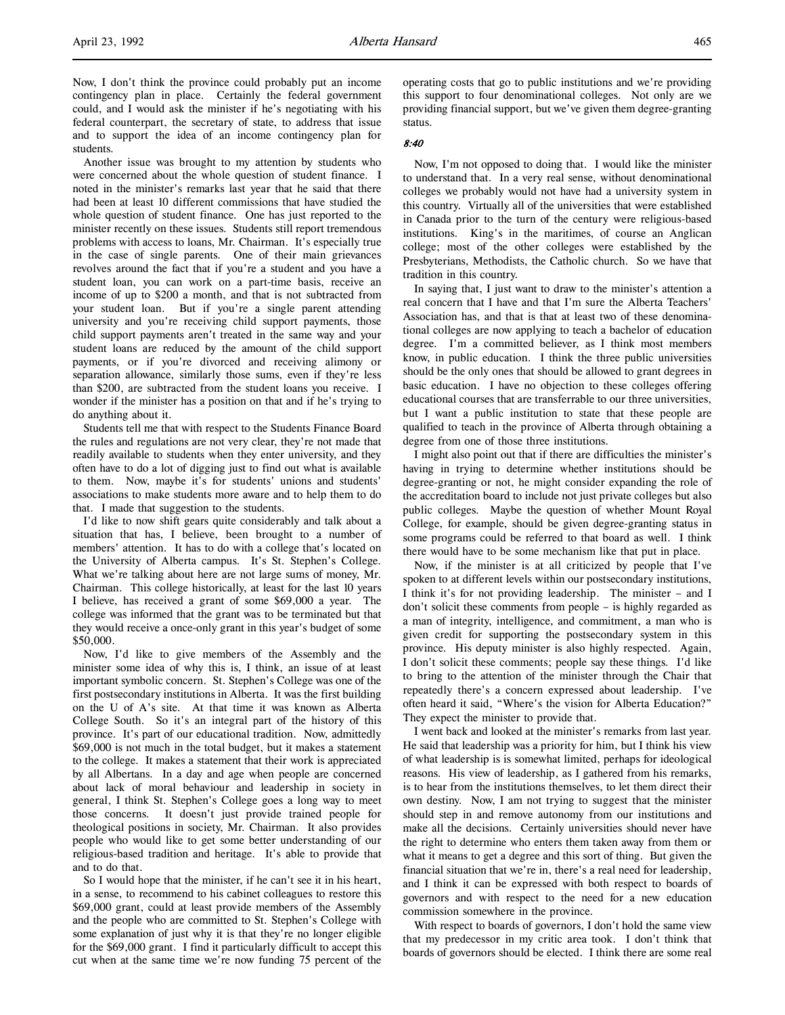Another issue was brought to my attention by students who were concerned about the whole question of student finance. I noted in the minister's remarks last year that he said that there had been at least 10 different commissions that have studied the whole question of student finance. One has just reported to the minister recently on these issues. Students still report tremendous problems with access to loans, Mr. Chairman. It's especially true in the case of single parents. One of their main grievances revolves around the fact that if you're a student and you have a student loan, you can work on a part-time basis, receive an income of up to \$200 a month, and that is not subtracted from your student loan. But if you're a single parent attending university and you're receiving child support payments, those child support payments aren't treated in the same way and your student loans are reduced by the amount of the child support payments, or if you're divorced and receiving alimony or separation allowance, similarly those sums, even if they're less than \$200, are subtracted from the student loans you receive. I wonder if the minister has a position on that and if he's trying to do anything about it.

Students tell me that with respect to the Students Finance Board the rules and regulations are not very clear, they're not made that readily available to students when they enter university, and they often have to do a lot of digging just to find out what is available to them. Now, maybe it's for students' unions and students' associations to make students more aware and to help them to do that. I made that suggestion to the students.

I'd like to now shift gears quite considerably and talk about a situation that has, I believe, been brought to a number of members' attention. It has to do with a college that's located on the University of Alberta campus. It's St. Stephen's College. What we're talking about here are not large sums of money, Mr. Chairman. This college historically, at least for the last 10 years I believe, has received a grant of some \$69,000 a year. The college was informed that the grant was to be terminated but that they would receive a once-only grant in this year's budget of some \$50,000.

Now, I'd like to give members of the Assembly and the minister some idea of why this is, I think, an issue of at least important symbolic concern. St. Stephen's College was one of the first postsecondary institutions in Alberta. It was the first building on the U of A's site. At that time it was known as Alberta College South. So it's an integral part of the history of this province. It's part of our educational tradition. Now, admittedly \$69,000 is not much in the total budget, but it makes a statement to the college. It makes a statement that their work is appreciated by all Albertans. In a day and age when people are concerned about lack of moral behaviour and leadership in society in general, I think St. Stephen's College goes a long way to meet those concerns. It doesn't just provide trained people for theological positions in society, Mr. Chairman. It also provides people who would like to get some better understanding of our religious-based tradition and heritage. It's able to provide that and to do that.

So I would hope that the minister, if he can't see it in his heart, in a sense, to recommend to his cabinet colleagues to restore this \$69,000 grant, could at least provide members of the Assembly and the people who are committed to St. Stephen's College with some explanation of just why it is that they're no longer eligible for the \$69,000 grant. I find it particularly difficult to accept this cut when at the same time we're now funding 75 percent of the

operating costs that go to public institutions and we're providing this support to four denominational colleges. Not only are we providing financial support, but we've given them degree-granting status.

#### 8:40

Now, I'm not opposed to doing that. I would like the minister to understand that. In a very real sense, without denominational colleges we probably would not have had a university system in this country. Virtually all of the universities that were established in Canada prior to the turn of the century were religious-based institutions. King's in the maritimes, of course an Anglican college; most of the other colleges were established by the Presbyterians, Methodists, the Catholic church. So we have that tradition in this country.

In saying that, I just want to draw to the minister's attention a real concern that I have and that I'm sure the Alberta Teachers' Association has, and that is that at least two of these denominational colleges are now applying to teach a bachelor of education degree. I'm a committed believer, as I think most members know, in public education. I think the three public universities should be the only ones that should be allowed to grant degrees in basic education. I have no objection to these colleges offering educational courses that are transferrable to our three universities, but I want a public institution to state that these people are qualified to teach in the province of Alberta through obtaining a degree from one of those three institutions.

I might also point out that if there are difficulties the minister's having in trying to determine whether institutions should be degree-granting or not, he might consider expanding the role of the accreditation board to include not just private colleges but also public colleges. Maybe the question of whether Mount Royal College, for example, should be given degree-granting status in some programs could be referred to that board as well. I think there would have to be some mechanism like that put in place.

Now, if the minister is at all criticized by people that I've spoken to at different levels within our postsecondary institutions, I think it's for not providing leadership. The minister – and I don't solicit these comments from people – is highly regarded as a man of integrity, intelligence, and commitment, a man who is given credit for supporting the postsecondary system in this province. His deputy minister is also highly respected. Again, I don't solicit these comments; people say these things. I'd like to bring to the attention of the minister through the Chair that repeatedly there's a concern expressed about leadership. I've often heard it said, "Where's the vision for Alberta Education?" They expect the minister to provide that.

I went back and looked at the minister's remarks from last year. He said that leadership was a priority for him, but I think his view of what leadership is is somewhat limited, perhaps for ideological reasons. His view of leadership, as I gathered from his remarks, is to hear from the institutions themselves, to let them direct their own destiny. Now, I am not trying to suggest that the minister should step in and remove autonomy from our institutions and make all the decisions. Certainly universities should never have the right to determine who enters them taken away from them or what it means to get a degree and this sort of thing. But given the financial situation that we're in, there's a real need for leadership, and I think it can be expressed with both respect to boards of governors and with respect to the need for a new education commission somewhere in the province.

With respect to boards of governors, I don't hold the same view that my predecessor in my critic area took. I don't think that boards of governors should be elected. I think there are some real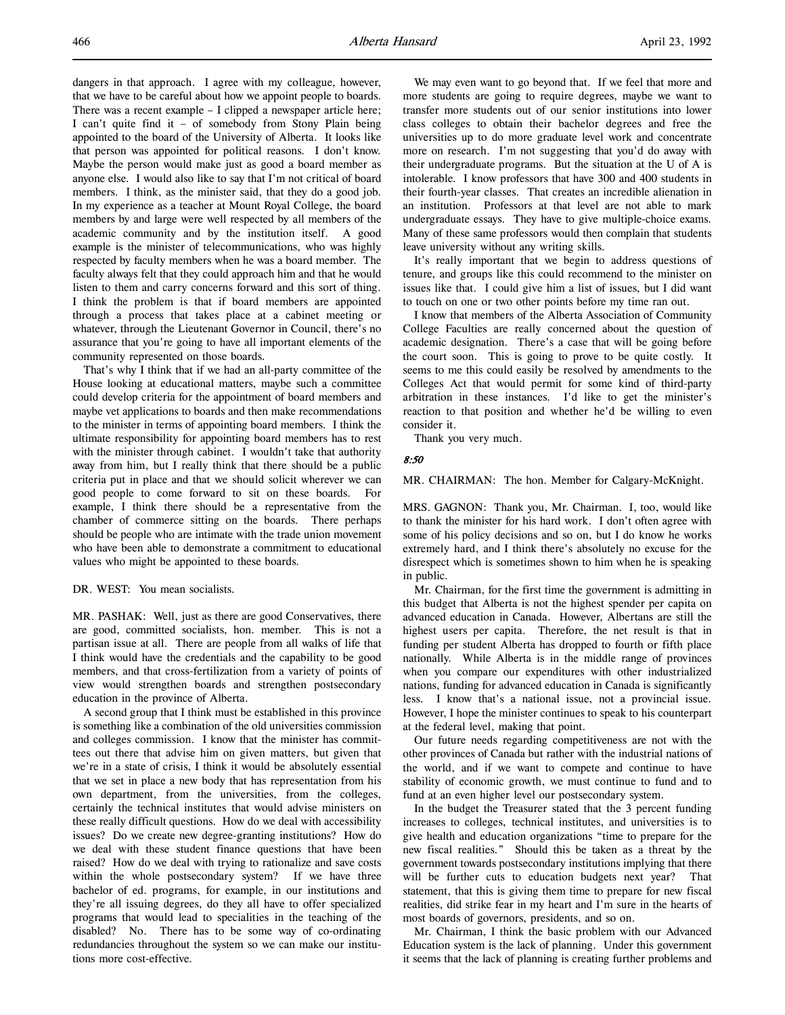dangers in that approach. I agree with my colleague, however, that we have to be careful about how we appoint people to boards. There was a recent example – I clipped a newspaper article here; I can't quite find it – of somebody from Stony Plain being appointed to the board of the University of Alberta. It looks like that person was appointed for political reasons. I don't know. Maybe the person would make just as good a board member as anyone else. I would also like to say that I'm not critical of board members. I think, as the minister said, that they do a good job. In my experience as a teacher at Mount Royal College, the board members by and large were well respected by all members of the academic community and by the institution itself. A good example is the minister of telecommunications, who was highly respected by faculty members when he was a board member. The faculty always felt that they could approach him and that he would listen to them and carry concerns forward and this sort of thing. I think the problem is that if board members are appointed through a process that takes place at a cabinet meeting or whatever, through the Lieutenant Governor in Council, there's no assurance that you're going to have all important elements of the community represented on those boards.

That's why I think that if we had an all-party committee of the House looking at educational matters, maybe such a committee could develop criteria for the appointment of board members and maybe vet applications to boards and then make recommendations to the minister in terms of appointing board members. I think the ultimate responsibility for appointing board members has to rest with the minister through cabinet. I wouldn't take that authority away from him, but I really think that there should be a public criteria put in place and that we should solicit wherever we can good people to come forward to sit on these boards. For example, I think there should be a representative from the chamber of commerce sitting on the boards. There perhaps should be people who are intimate with the trade union movement who have been able to demonstrate a commitment to educational values who might be appointed to these boards.

### DR. WEST: You mean socialists.

MR. PASHAK: Well, just as there are good Conservatives, there are good, committed socialists, hon. member. This is not a partisan issue at all. There are people from all walks of life that I think would have the credentials and the capability to be good members, and that cross-fertilization from a variety of points of view would strengthen boards and strengthen postsecondary education in the province of Alberta.

A second group that I think must be established in this province is something like a combination of the old universities commission and colleges commission. I know that the minister has committees out there that advise him on given matters, but given that we're in a state of crisis, I think it would be absolutely essential that we set in place a new body that has representation from his own department, from the universities, from the colleges, certainly the technical institutes that would advise ministers on these really difficult questions. How do we deal with accessibility issues? Do we create new degree-granting institutions? How do we deal with these student finance questions that have been raised? How do we deal with trying to rationalize and save costs within the whole postsecondary system? If we have three bachelor of ed. programs, for example, in our institutions and they're all issuing degrees, do they all have to offer specialized programs that would lead to specialities in the teaching of the disabled? No. There has to be some way of co-ordinating redundancies throughout the system so we can make our institutions more cost-effective.

We may even want to go beyond that. If we feel that more and more students are going to require degrees, maybe we want to transfer more students out of our senior institutions into lower class colleges to obtain their bachelor degrees and free the universities up to do more graduate level work and concentrate more on research. I'm not suggesting that you'd do away with their undergraduate programs. But the situation at the U of A is intolerable. I know professors that have 300 and 400 students in their fourth-year classes. That creates an incredible alienation in an institution. Professors at that level are not able to mark undergraduate essays. They have to give multiple-choice exams. Many of these same professors would then complain that students leave university without any writing skills.

It's really important that we begin to address questions of tenure, and groups like this could recommend to the minister on issues like that. I could give him a list of issues, but I did want to touch on one or two other points before my time ran out.

I know that members of the Alberta Association of Community College Faculties are really concerned about the question of academic designation. There's a case that will be going before the court soon. This is going to prove to be quite costly. It seems to me this could easily be resolved by amendments to the Colleges Act that would permit for some kind of third-party arbitration in these instances. I'd like to get the minister's reaction to that position and whether he'd be willing to even consider it.

Thank you very much.

#### 8:50

#### MR. CHAIRMAN: The hon. Member for Calgary-McKnight.

MRS. GAGNON: Thank you, Mr. Chairman. I, too, would like to thank the minister for his hard work. I don't often agree with some of his policy decisions and so on, but I do know he works extremely hard, and I think there's absolutely no excuse for the disrespect which is sometimes shown to him when he is speaking in public.

Mr. Chairman, for the first time the government is admitting in this budget that Alberta is not the highest spender per capita on advanced education in Canada. However, Albertans are still the highest users per capita. Therefore, the net result is that in funding per student Alberta has dropped to fourth or fifth place nationally. While Alberta is in the middle range of provinces when you compare our expenditures with other industrialized nations, funding for advanced education in Canada is significantly less. I know that's a national issue, not a provincial issue. However, I hope the minister continues to speak to his counterpart at the federal level, making that point.

Our future needs regarding competitiveness are not with the other provinces of Canada but rather with the industrial nations of the world, and if we want to compete and continue to have stability of economic growth, we must continue to fund and to fund at an even higher level our postsecondary system.

In the budget the Treasurer stated that the 3 percent funding increases to colleges, technical institutes, and universities is to give health and education organizations "time to prepare for the new fiscal realities." Should this be taken as a threat by the government towards postsecondary institutions implying that there will be further cuts to education budgets next year? That statement, that this is giving them time to prepare for new fiscal realities, did strike fear in my heart and I'm sure in the hearts of most boards of governors, presidents, and so on.

Mr. Chairman, I think the basic problem with our Advanced Education system is the lack of planning. Under this government it seems that the lack of planning is creating further problems and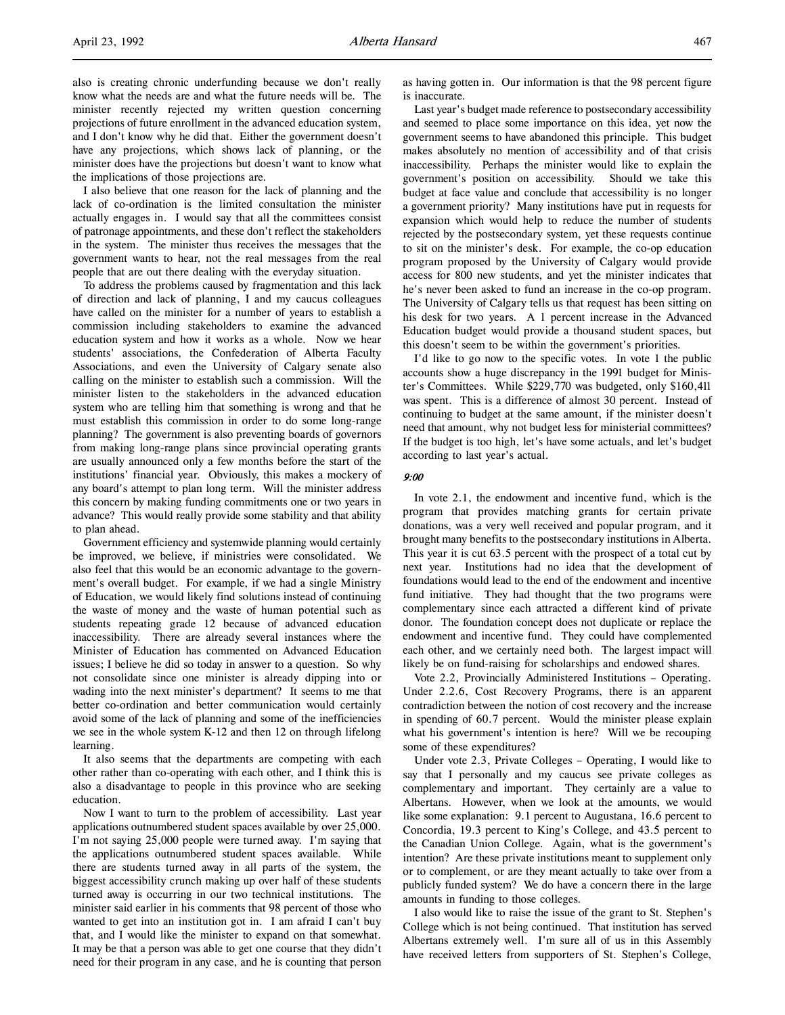I also believe that one reason for the lack of planning and the lack of co-ordination is the limited consultation the minister actually engages in. I would say that all the committees consist of patronage appointments, and these don't reflect the stakeholders in the system. The minister thus receives the messages that the government wants to hear, not the real messages from the real people that are out there dealing with the everyday situation.

To address the problems caused by fragmentation and this lack of direction and lack of planning, I and my caucus colleagues have called on the minister for a number of years to establish a commission including stakeholders to examine the advanced education system and how it works as a whole. Now we hear students' associations, the Confederation of Alberta Faculty Associations, and even the University of Calgary senate also calling on the minister to establish such a commission. Will the minister listen to the stakeholders in the advanced education system who are telling him that something is wrong and that he must establish this commission in order to do some long-range planning? The government is also preventing boards of governors from making long-range plans since provincial operating grants are usually announced only a few months before the start of the institutions' financial year. Obviously, this makes a mockery of any board's attempt to plan long term. Will the minister address this concern by making funding commitments one or two years in advance? This would really provide some stability and that ability to plan ahead.

Government efficiency and systemwide planning would certainly be improved, we believe, if ministries were consolidated. We also feel that this would be an economic advantage to the government's overall budget. For example, if we had a single Ministry of Education, we would likely find solutions instead of continuing the waste of money and the waste of human potential such as students repeating grade 12 because of advanced education inaccessibility. There are already several instances where the Minister of Education has commented on Advanced Education issues; I believe he did so today in answer to a question. So why not consolidate since one minister is already dipping into or wading into the next minister's department? It seems to me that better co-ordination and better communication would certainly avoid some of the lack of planning and some of the inefficiencies we see in the whole system K-12 and then 12 on through lifelong learning.

It also seems that the departments are competing with each other rather than co-operating with each other, and I think this is also a disadvantage to people in this province who are seeking education.

Now I want to turn to the problem of accessibility. Last year applications outnumbered student spaces available by over 25,000. I'm not saying 25,000 people were turned away. I'm saying that the applications outnumbered student spaces available. While there are students turned away in all parts of the system, the biggest accessibility crunch making up over half of these students turned away is occurring in our two technical institutions. The minister said earlier in his comments that 98 percent of those who wanted to get into an institution got in. I am afraid I can't buy that, and I would like the minister to expand on that somewhat. It may be that a person was able to get one course that they didn't need for their program in any case, and he is counting that person

as having gotten in. Our information is that the 98 percent figure is inaccurate.

Last year's budget made reference to postsecondary accessibility and seemed to place some importance on this idea, yet now the government seems to have abandoned this principle. This budget makes absolutely no mention of accessibility and of that crisis inaccessibility. Perhaps the minister would like to explain the government's position on accessibility. Should we take this budget at face value and conclude that accessibility is no longer a government priority? Many institutions have put in requests for expansion which would help to reduce the number of students rejected by the postsecondary system, yet these requests continue to sit on the minister's desk. For example, the co-op education program proposed by the University of Calgary would provide access for 800 new students, and yet the minister indicates that he's never been asked to fund an increase in the co-op program. The University of Calgary tells us that request has been sitting on his desk for two years. A 1 percent increase in the Advanced Education budget would provide a thousand student spaces, but this doesn't seem to be within the government's priorities.

I'd like to go now to the specific votes. In vote 1 the public accounts show a huge discrepancy in the 1991 budget for Minister's Committees. While \$229,770 was budgeted, only \$160,411 was spent. This is a difference of almost 30 percent. Instead of continuing to budget at the same amount, if the minister doesn't need that amount, why not budget less for ministerial committees? If the budget is too high, let's have some actuals, and let's budget according to last year's actual.

#### 9:00

In vote 2.1, the endowment and incentive fund, which is the program that provides matching grants for certain private donations, was a very well received and popular program, and it brought many benefits to the postsecondary institutions in Alberta. This year it is cut 63.5 percent with the prospect of a total cut by next year. Institutions had no idea that the development of foundations would lead to the end of the endowment and incentive fund initiative. They had thought that the two programs were complementary since each attracted a different kind of private donor. The foundation concept does not duplicate or replace the endowment and incentive fund. They could have complemented each other, and we certainly need both. The largest impact will likely be on fund-raising for scholarships and endowed shares.

Vote 2.2, Provincially Administered Institutions – Operating. Under 2.2.6, Cost Recovery Programs, there is an apparent contradiction between the notion of cost recovery and the increase in spending of 60.7 percent. Would the minister please explain what his government's intention is here? Will we be recouping some of these expenditures?

Under vote 2.3, Private Colleges – Operating, I would like to say that I personally and my caucus see private colleges as complementary and important. They certainly are a value to Albertans. However, when we look at the amounts, we would like some explanation: 9.1 percent to Augustana, 16.6 percent to Concordia, 19.3 percent to King's College, and 43.5 percent to the Canadian Union College. Again, what is the government's intention? Are these private institutions meant to supplement only or to complement, or are they meant actually to take over from a publicly funded system? We do have a concern there in the large amounts in funding to those colleges.

I also would like to raise the issue of the grant to St. Stephen's College which is not being continued. That institution has served Albertans extremely well. I'm sure all of us in this Assembly have received letters from supporters of St. Stephen's College,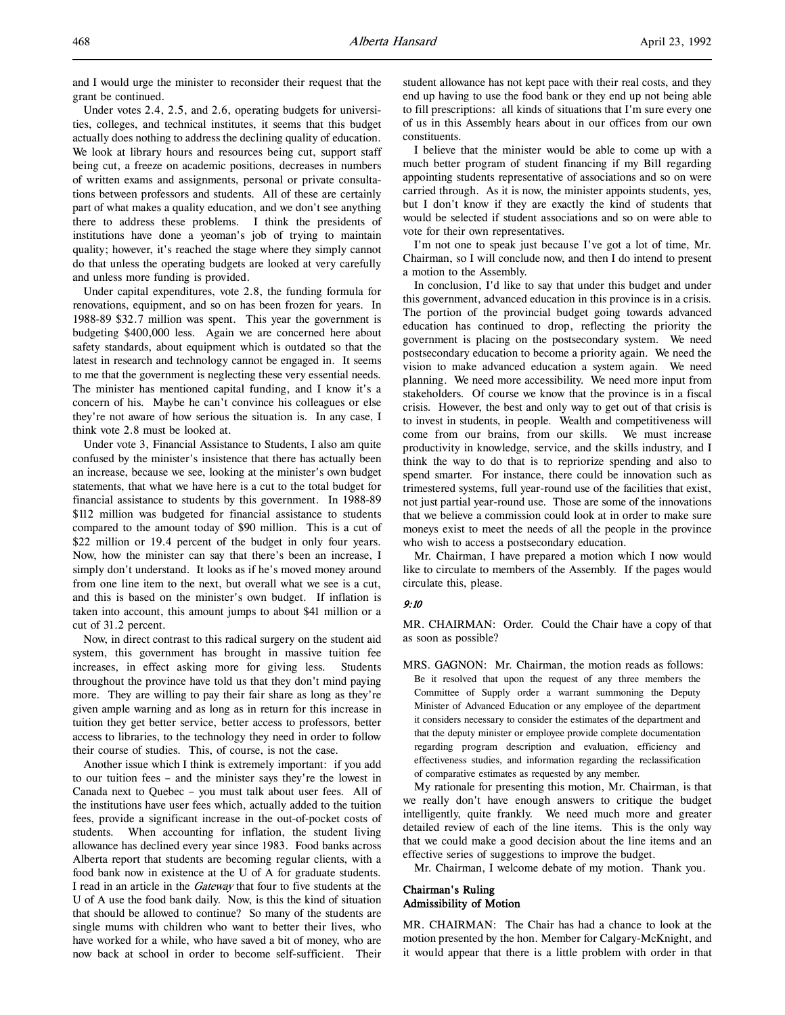and I would urge the minister to reconsider their request that the grant be continued.

Under votes 2.4, 2.5, and 2.6, operating budgets for universities, colleges, and technical institutes, it seems that this budget actually does nothing to address the declining quality of education. We look at library hours and resources being cut, support staff being cut, a freeze on academic positions, decreases in numbers of written exams and assignments, personal or private consultations between professors and students. All of these are certainly part of what makes a quality education, and we don't see anything there to address these problems. I think the presidents of institutions have done a yeoman's job of trying to maintain quality; however, it's reached the stage where they simply cannot do that unless the operating budgets are looked at very carefully and unless more funding is provided.

Under capital expenditures, vote 2.8, the funding formula for renovations, equipment, and so on has been frozen for years. In 1988-89 \$32.7 million was spent. This year the government is budgeting \$400,000 less. Again we are concerned here about safety standards, about equipment which is outdated so that the latest in research and technology cannot be engaged in. It seems to me that the government is neglecting these very essential needs. The minister has mentioned capital funding, and I know it's a concern of his. Maybe he can't convince his colleagues or else they're not aware of how serious the situation is. In any case, I think vote 2.8 must be looked at.

Under vote 3, Financial Assistance to Students, I also am quite confused by the minister's insistence that there has actually been an increase, because we see, looking at the minister's own budget statements, that what we have here is a cut to the total budget for financial assistance to students by this government. In 1988-89 \$112 million was budgeted for financial assistance to students compared to the amount today of \$90 million. This is a cut of \$22 million or 19.4 percent of the budget in only four years. Now, how the minister can say that there's been an increase, I simply don't understand. It looks as if he's moved money around from one line item to the next, but overall what we see is a cut, and this is based on the minister's own budget. If inflation is taken into account, this amount jumps to about \$41 million or a cut of 31.2 percent.

Now, in direct contrast to this radical surgery on the student aid system, this government has brought in massive tuition fee increases, in effect asking more for giving less. Students throughout the province have told us that they don't mind paying more. They are willing to pay their fair share as long as they're given ample warning and as long as in return for this increase in tuition they get better service, better access to professors, better access to libraries, to the technology they need in order to follow their course of studies. This, of course, is not the case.

Another issue which I think is extremely important: if you add to our tuition fees – and the minister says they're the lowest in Canada next to Quebec – you must talk about user fees. All of the institutions have user fees which, actually added to the tuition fees, provide a significant increase in the out-of-pocket costs of students. When accounting for inflation, the student living allowance has declined every year since 1983. Food banks across Alberta report that students are becoming regular clients, with a food bank now in existence at the U of A for graduate students. I read in an article in the Gateway that four to five students at the U of A use the food bank daily. Now, is this the kind of situation that should be allowed to continue? So many of the students are single mums with children who want to better their lives, who have worked for a while, who have saved a bit of money, who are now back at school in order to become self-sufficient. Their

student allowance has not kept pace with their real costs, and they end up having to use the food bank or they end up not being able to fill prescriptions: all kinds of situations that I'm sure every one of us in this Assembly hears about in our offices from our own constituents.

I believe that the minister would be able to come up with a much better program of student financing if my Bill regarding appointing students representative of associations and so on were carried through. As it is now, the minister appoints students, yes, but I don't know if they are exactly the kind of students that would be selected if student associations and so on were able to vote for their own representatives.

I'm not one to speak just because I've got a lot of time, Mr. Chairman, so I will conclude now, and then I do intend to present a motion to the Assembly.

In conclusion, I'd like to say that under this budget and under this government, advanced education in this province is in a crisis. The portion of the provincial budget going towards advanced education has continued to drop, reflecting the priority the government is placing on the postsecondary system. We need postsecondary education to become a priority again. We need the vision to make advanced education a system again. We need planning. We need more accessibility. We need more input from stakeholders. Of course we know that the province is in a fiscal crisis. However, the best and only way to get out of that crisis is to invest in students, in people. Wealth and competitiveness will come from our brains, from our skills. We must increase productivity in knowledge, service, and the skills industry, and I think the way to do that is to repriorize spending and also to spend smarter. For instance, there could be innovation such as trimestered systems, full year-round use of the facilities that exist, not just partial year-round use. Those are some of the innovations that we believe a commission could look at in order to make sure moneys exist to meet the needs of all the people in the province who wish to access a postsecondary education.

Mr. Chairman, I have prepared a motion which I now would like to circulate to members of the Assembly. If the pages would circulate this, please.

# 9:10

MR. CHAIRMAN: Order. Could the Chair have a copy of that as soon as possible?

MRS. GAGNON: Mr. Chairman, the motion reads as follows: Be it resolved that upon the request of any three members the Committee of Supply order a warrant summoning the Deputy Minister of Advanced Education or any employee of the department it considers necessary to consider the estimates of the department and that the deputy minister or employee provide complete documentation regarding program description and evaluation, efficiency and effectiveness studies, and information regarding the reclassification of comparative estimates as requested by any member.

My rationale for presenting this motion, Mr. Chairman, is that we really don't have enough answers to critique the budget intelligently, quite frankly. We need much more and greater detailed review of each of the line items. This is the only way that we could make a good decision about the line items and an effective series of suggestions to improve the budget.

Mr. Chairman, I welcome debate of my motion. Thank you.

## Chairman's Ruling Admissibility of Motion

MR. CHAIRMAN: The Chair has had a chance to look at the motion presented by the hon. Member for Calgary-McKnight, and it would appear that there is a little problem with order in that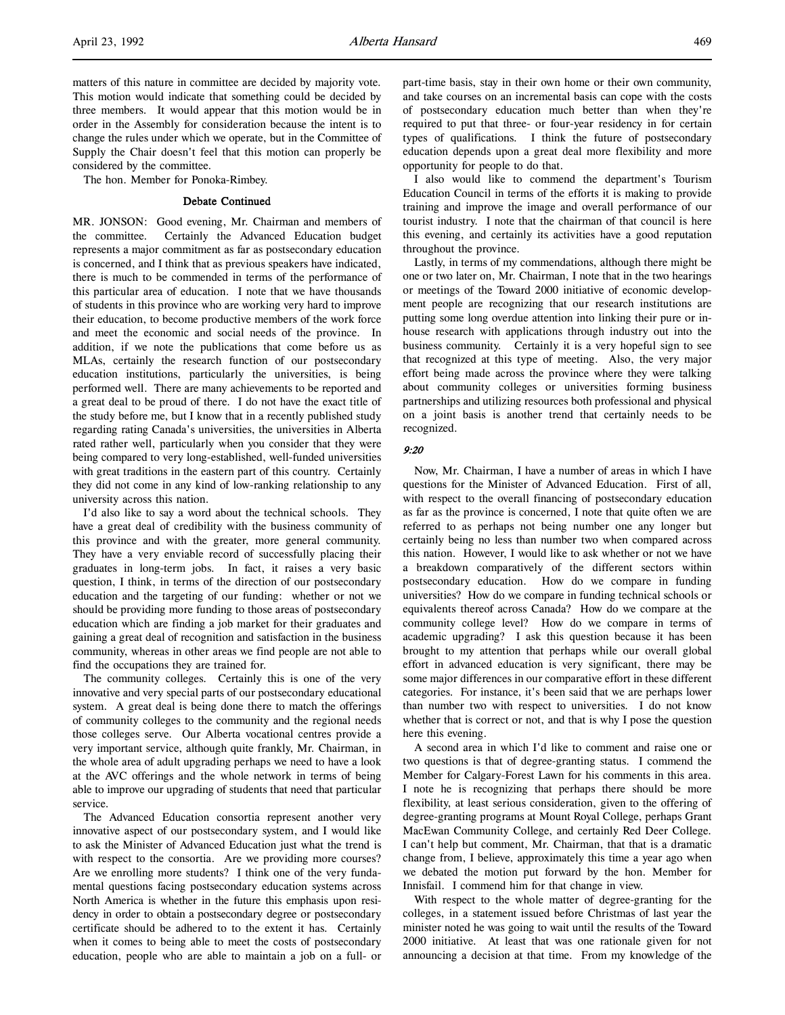The hon. Member for Ponoka-Rimbey.

### Debate Continued

MR. JONSON: Good evening, Mr. Chairman and members of the committee. Certainly the Advanced Education budget represents a major commitment as far as postsecondary education is concerned, and I think that as previous speakers have indicated, there is much to be commended in terms of the performance of this particular area of education. I note that we have thousands of students in this province who are working very hard to improve their education, to become productive members of the work force and meet the economic and social needs of the province. In addition, if we note the publications that come before us as MLAs, certainly the research function of our postsecondary education institutions, particularly the universities, is being performed well. There are many achievements to be reported and a great deal to be proud of there. I do not have the exact title of the study before me, but I know that in a recently published study regarding rating Canada's universities, the universities in Alberta rated rather well, particularly when you consider that they were being compared to very long-established, well-funded universities with great traditions in the eastern part of this country. Certainly they did not come in any kind of low-ranking relationship to any university across this nation.

I'd also like to say a word about the technical schools. They have a great deal of credibility with the business community of this province and with the greater, more general community. They have a very enviable record of successfully placing their graduates in long-term jobs. In fact, it raises a very basic question, I think, in terms of the direction of our postsecondary education and the targeting of our funding: whether or not we should be providing more funding to those areas of postsecondary education which are finding a job market for their graduates and gaining a great deal of recognition and satisfaction in the business community, whereas in other areas we find people are not able to find the occupations they are trained for.

The community colleges. Certainly this is one of the very innovative and very special parts of our postsecondary educational system. A great deal is being done there to match the offerings of community colleges to the community and the regional needs those colleges serve. Our Alberta vocational centres provide a very important service, although quite frankly, Mr. Chairman, in the whole area of adult upgrading perhaps we need to have a look at the AVC offerings and the whole network in terms of being able to improve our upgrading of students that need that particular service.

The Advanced Education consortia represent another very innovative aspect of our postsecondary system, and I would like to ask the Minister of Advanced Education just what the trend is with respect to the consortia. Are we providing more courses? Are we enrolling more students? I think one of the very fundamental questions facing postsecondary education systems across North America is whether in the future this emphasis upon residency in order to obtain a postsecondary degree or postsecondary certificate should be adhered to to the extent it has. Certainly when it comes to being able to meet the costs of postsecondary education, people who are able to maintain a job on a full- or

part-time basis, stay in their own home or their own community, and take courses on an incremental basis can cope with the costs of postsecondary education much better than when they're required to put that three- or four-year residency in for certain types of qualifications. I think the future of postsecondary education depends upon a great deal more flexibility and more opportunity for people to do that.

I also would like to commend the department's Tourism Education Council in terms of the efforts it is making to provide training and improve the image and overall performance of our tourist industry. I note that the chairman of that council is here this evening, and certainly its activities have a good reputation throughout the province.

Lastly, in terms of my commendations, although there might be one or two later on, Mr. Chairman, I note that in the two hearings or meetings of the Toward 2000 initiative of economic development people are recognizing that our research institutions are putting some long overdue attention into linking their pure or inhouse research with applications through industry out into the business community. Certainly it is a very hopeful sign to see that recognized at this type of meeting. Also, the very major effort being made across the province where they were talking about community colleges or universities forming business partnerships and utilizing resources both professional and physical on a joint basis is another trend that certainly needs to be recognized.

### 9:20

Now, Mr. Chairman, I have a number of areas in which I have questions for the Minister of Advanced Education. First of all, with respect to the overall financing of postsecondary education as far as the province is concerned, I note that quite often we are referred to as perhaps not being number one any longer but certainly being no less than number two when compared across this nation. However, I would like to ask whether or not we have a breakdown comparatively of the different sectors within postsecondary education. How do we compare in funding universities? How do we compare in funding technical schools or equivalents thereof across Canada? How do we compare at the community college level? How do we compare in terms of academic upgrading? I ask this question because it has been brought to my attention that perhaps while our overall global effort in advanced education is very significant, there may be some major differences in our comparative effort in these different categories. For instance, it's been said that we are perhaps lower than number two with respect to universities. I do not know whether that is correct or not, and that is why I pose the question here this evening.

A second area in which I'd like to comment and raise one or two questions is that of degree-granting status. I commend the Member for Calgary-Forest Lawn for his comments in this area. I note he is recognizing that perhaps there should be more flexibility, at least serious consideration, given to the offering of degree-granting programs at Mount Royal College, perhaps Grant MacEwan Community College, and certainly Red Deer College. I can't help but comment, Mr. Chairman, that that is a dramatic change from, I believe, approximately this time a year ago when we debated the motion put forward by the hon. Member for Innisfail. I commend him for that change in view.

With respect to the whole matter of degree-granting for the colleges, in a statement issued before Christmas of last year the minister noted he was going to wait until the results of the Toward 2000 initiative. At least that was one rationale given for not announcing a decision at that time. From my knowledge of the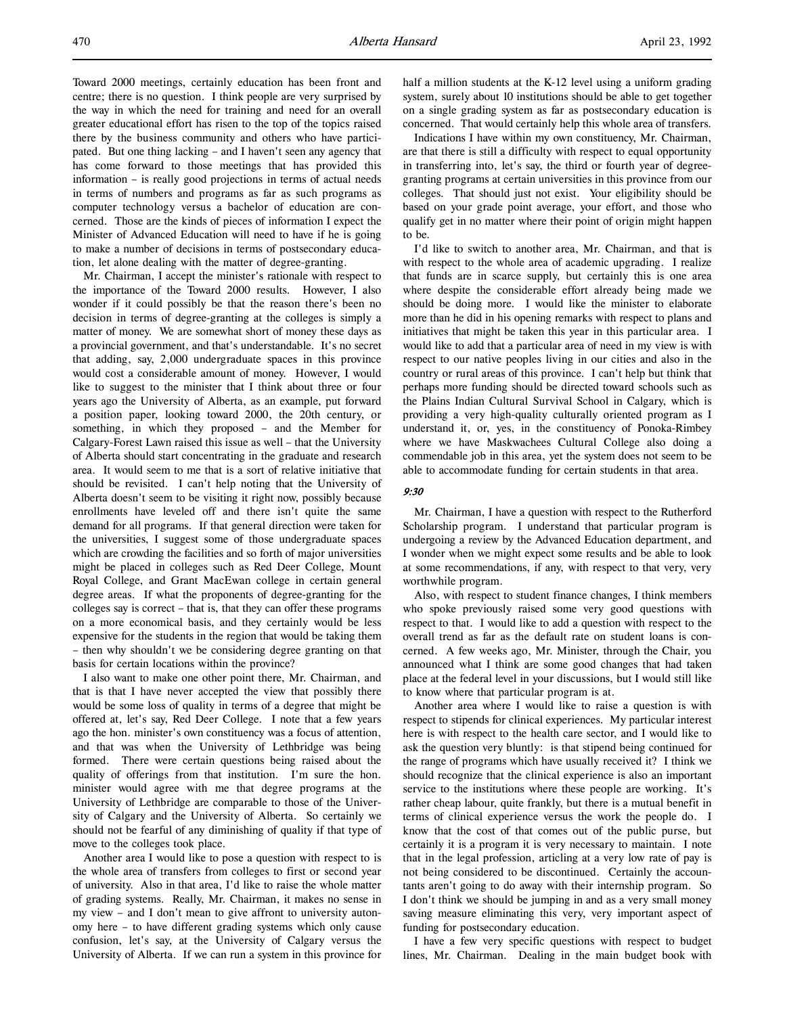Toward 2000 meetings, certainly education has been front and centre; there is no question. I think people are very surprised by the way in which the need for training and need for an overall greater educational effort has risen to the top of the topics raised there by the business community and others who have participated. But one thing lacking – and I haven't seen any agency that has come forward to those meetings that has provided this information – is really good projections in terms of actual needs in terms of numbers and programs as far as such programs as computer technology versus a bachelor of education are concerned. Those are the kinds of pieces of information I expect the Minister of Advanced Education will need to have if he is going to make a number of decisions in terms of postsecondary education, let alone dealing with the matter of degree-granting.

Mr. Chairman, I accept the minister's rationale with respect to the importance of the Toward 2000 results. However, I also wonder if it could possibly be that the reason there's been no decision in terms of degree-granting at the colleges is simply a matter of money. We are somewhat short of money these days as a provincial government, and that's understandable. It's no secret that adding, say, 2,000 undergraduate spaces in this province would cost a considerable amount of money. However, I would like to suggest to the minister that I think about three or four years ago the University of Alberta, as an example, put forward a position paper, looking toward 2000, the 20th century, or something, in which they proposed – and the Member for Calgary-Forest Lawn raised this issue as well – that the University of Alberta should start concentrating in the graduate and research area. It would seem to me that is a sort of relative initiative that should be revisited. I can't help noting that the University of Alberta doesn't seem to be visiting it right now, possibly because enrollments have leveled off and there isn't quite the same demand for all programs. If that general direction were taken for the universities, I suggest some of those undergraduate spaces which are crowding the facilities and so forth of major universities might be placed in colleges such as Red Deer College, Mount Royal College, and Grant MacEwan college in certain general degree areas. If what the proponents of degree-granting for the colleges say is correct – that is, that they can offer these programs on a more economical basis, and they certainly would be less expensive for the students in the region that would be taking them – then why shouldn't we be considering degree granting on that basis for certain locations within the province?

I also want to make one other point there, Mr. Chairman, and that is that I have never accepted the view that possibly there would be some loss of quality in terms of a degree that might be offered at, let's say, Red Deer College. I note that a few years ago the hon. minister's own constituency was a focus of attention, and that was when the University of Lethbridge was being formed. There were certain questions being raised about the quality of offerings from that institution. I'm sure the hon. minister would agree with me that degree programs at the University of Lethbridge are comparable to those of the University of Calgary and the University of Alberta. So certainly we should not be fearful of any diminishing of quality if that type of move to the colleges took place.

Another area I would like to pose a question with respect to is the whole area of transfers from colleges to first or second year of university. Also in that area, I'd like to raise the whole matter of grading systems. Really, Mr. Chairman, it makes no sense in my view – and I don't mean to give affront to university autonomy here – to have different grading systems which only cause confusion, let's say, at the University of Calgary versus the University of Alberta. If we can run a system in this province for half a million students at the K-12 level using a uniform grading system, surely about 10 institutions should be able to get together on a single grading system as far as postsecondary education is concerned. That would certainly help this whole area of transfers.

Indications I have within my own constituency, Mr. Chairman, are that there is still a difficulty with respect to equal opportunity in transferring into, let's say, the third or fourth year of degreegranting programs at certain universities in this province from our colleges. That should just not exist. Your eligibility should be based on your grade point average, your effort, and those who qualify get in no matter where their point of origin might happen to be.

I'd like to switch to another area, Mr. Chairman, and that is with respect to the whole area of academic upgrading. I realize that funds are in scarce supply, but certainly this is one area where despite the considerable effort already being made we should be doing more. I would like the minister to elaborate more than he did in his opening remarks with respect to plans and initiatives that might be taken this year in this particular area. I would like to add that a particular area of need in my view is with respect to our native peoples living in our cities and also in the country or rural areas of this province. I can't help but think that perhaps more funding should be directed toward schools such as the Plains Indian Cultural Survival School in Calgary, which is providing a very high-quality culturally oriented program as I understand it, or, yes, in the constituency of Ponoka-Rimbey where we have Maskwachees Cultural College also doing a commendable job in this area, yet the system does not seem to be able to accommodate funding for certain students in that area.

### 9:30

Mr. Chairman, I have a question with respect to the Rutherford Scholarship program. I understand that particular program is undergoing a review by the Advanced Education department, and I wonder when we might expect some results and be able to look at some recommendations, if any, with respect to that very, very worthwhile program.

Also, with respect to student finance changes, I think members who spoke previously raised some very good questions with respect to that. I would like to add a question with respect to the overall trend as far as the default rate on student loans is concerned. A few weeks ago, Mr. Minister, through the Chair, you announced what I think are some good changes that had taken place at the federal level in your discussions, but I would still like to know where that particular program is at.

Another area where I would like to raise a question is with respect to stipends for clinical experiences. My particular interest here is with respect to the health care sector, and I would like to ask the question very bluntly: is that stipend being continued for the range of programs which have usually received it? I think we should recognize that the clinical experience is also an important service to the institutions where these people are working. It's rather cheap labour, quite frankly, but there is a mutual benefit in terms of clinical experience versus the work the people do. I know that the cost of that comes out of the public purse, but certainly it is a program it is very necessary to maintain. I note that in the legal profession, articling at a very low rate of pay is not being considered to be discontinued. Certainly the accountants aren't going to do away with their internship program. So I don't think we should be jumping in and as a very small money saving measure eliminating this very, very important aspect of funding for postsecondary education.

I have a few very specific questions with respect to budget lines, Mr. Chairman. Dealing in the main budget book with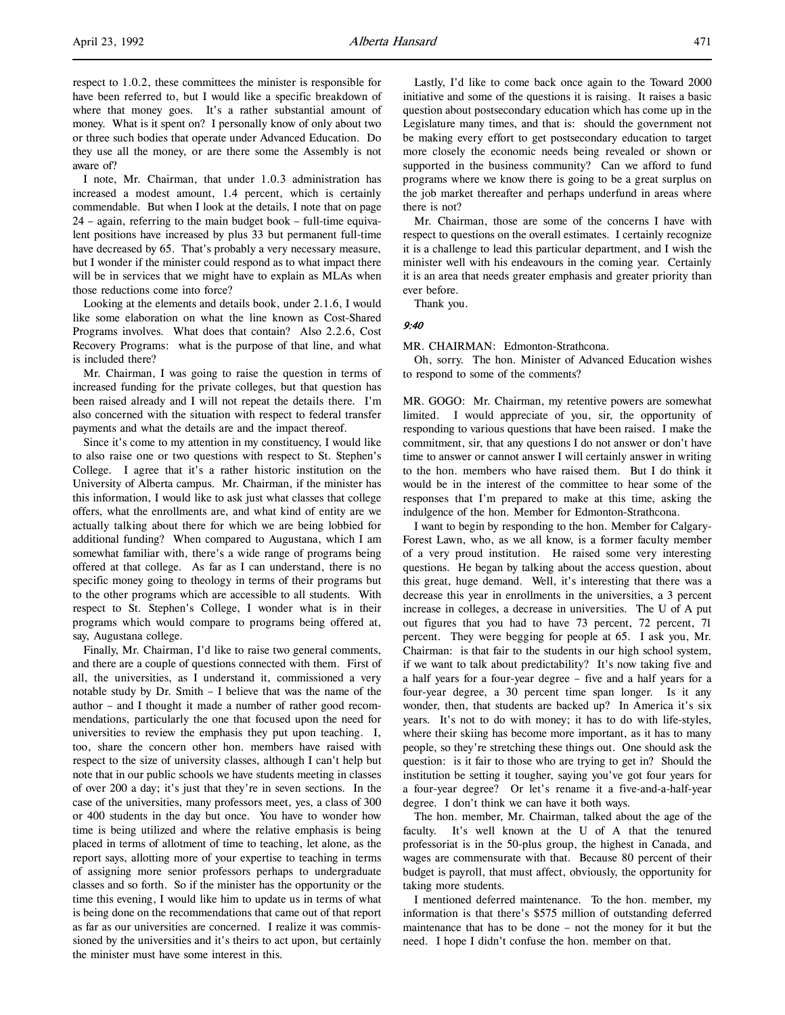l,

respect to 1.0.2, these committees the minister is responsible for have been referred to, but I would like a specific breakdown of where that money goes. It's a rather substantial amount of money. What is it spent on? I personally know of only about two or three such bodies that operate under Advanced Education. Do they use all the money, or are there some the Assembly is not aware of?

I note, Mr. Chairman, that under 1.0.3 administration has increased a modest amount, 1.4 percent, which is certainly commendable. But when I look at the details, I note that on page 24 – again, referring to the main budget book – full-time equivalent positions have increased by plus 33 but permanent full-time have decreased by 65. That's probably a very necessary measure, but I wonder if the minister could respond as to what impact there will be in services that we might have to explain as MLAs when those reductions come into force?

Looking at the elements and details book, under 2.1.6, I would like some elaboration on what the line known as Cost-Shared Programs involves. What does that contain? Also 2.2.6, Cost Recovery Programs: what is the purpose of that line, and what is included there?

Mr. Chairman, I was going to raise the question in terms of increased funding for the private colleges, but that question has been raised already and I will not repeat the details there. I'm also concerned with the situation with respect to federal transfer payments and what the details are and the impact thereof.

Since it's come to my attention in my constituency, I would like to also raise one or two questions with respect to St. Stephen's College. I agree that it's a rather historic institution on the University of Alberta campus. Mr. Chairman, if the minister has this information, I would like to ask just what classes that college offers, what the enrollments are, and what kind of entity are we actually talking about there for which we are being lobbied for additional funding? When compared to Augustana, which I am somewhat familiar with, there's a wide range of programs being offered at that college. As far as I can understand, there is no specific money going to theology in terms of their programs but to the other programs which are accessible to all students. With respect to St. Stephen's College, I wonder what is in their programs which would compare to programs being offered at, say, Augustana college.

Finally, Mr. Chairman, I'd like to raise two general comments, and there are a couple of questions connected with them. First of all, the universities, as I understand it, commissioned a very notable study by Dr. Smith – I believe that was the name of the author – and I thought it made a number of rather good recommendations, particularly the one that focused upon the need for universities to review the emphasis they put upon teaching. I, too, share the concern other hon. members have raised with respect to the size of university classes, although I can't help but note that in our public schools we have students meeting in classes of over 200 a day; it's just that they're in seven sections. In the case of the universities, many professors meet, yes, a class of 300 or 400 students in the day but once. You have to wonder how time is being utilized and where the relative emphasis is being placed in terms of allotment of time to teaching, let alone, as the report says, allotting more of your expertise to teaching in terms of assigning more senior professors perhaps to undergraduate classes and so forth. So if the minister has the opportunity or the time this evening, I would like him to update us in terms of what is being done on the recommendations that came out of that report as far as our universities are concerned. I realize it was commissioned by the universities and it's theirs to act upon, but certainly the minister must have some interest in this.

Lastly, I'd like to come back once again to the Toward 2000 initiative and some of the questions it is raising. It raises a basic question about postsecondary education which has come up in the Legislature many times, and that is: should the government not be making every effort to get postsecondary education to target more closely the economic needs being revealed or shown or supported in the business community? Can we afford to fund programs where we know there is going to be a great surplus on the job market thereafter and perhaps underfund in areas where there is not?

Mr. Chairman, those are some of the concerns I have with respect to questions on the overall estimates. I certainly recognize it is a challenge to lead this particular department, and I wish the minister well with his endeavours in the coming year. Certainly it is an area that needs greater emphasis and greater priority than ever before.

Thank you.

# 9:40

MR. CHAIRMAN: Edmonton-Strathcona.

Oh, sorry. The hon. Minister of Advanced Education wishes to respond to some of the comments?

MR. GOGO: Mr. Chairman, my retentive powers are somewhat limited. I would appreciate of you, sir, the opportunity of responding to various questions that have been raised. I make the commitment, sir, that any questions I do not answer or don't have time to answer or cannot answer I will certainly answer in writing to the hon. members who have raised them. But I do think it would be in the interest of the committee to hear some of the responses that I'm prepared to make at this time, asking the indulgence of the hon. Member for Edmonton-Strathcona.

I want to begin by responding to the hon. Member for Calgary-Forest Lawn, who, as we all know, is a former faculty member of a very proud institution. He raised some very interesting questions. He began by talking about the access question, about this great, huge demand. Well, it's interesting that there was a decrease this year in enrollments in the universities, a 3 percent increase in colleges, a decrease in universities. The U of A put out figures that you had to have 73 percent, 72 percent, 71 percent. They were begging for people at 65. I ask you, Mr. Chairman: is that fair to the students in our high school system, if we want to talk about predictability? It's now taking five and a half years for a four-year degree – five and a half years for a four-year degree, a 30 percent time span longer. Is it any wonder, then, that students are backed up? In America it's six years. It's not to do with money; it has to do with life-styles, where their skiing has become more important, as it has to many people, so they're stretching these things out. One should ask the question: is it fair to those who are trying to get in? Should the institution be setting it tougher, saying you've got four years for a four-year degree? Or let's rename it a five-and-a-half-year degree. I don't think we can have it both ways.

The hon. member, Mr. Chairman, talked about the age of the faculty. It's well known at the U of A that the tenured professoriat is in the 50-plus group, the highest in Canada, and wages are commensurate with that. Because 80 percent of their budget is payroll, that must affect, obviously, the opportunity for taking more students.

I mentioned deferred maintenance. To the hon. member, my information is that there's \$575 million of outstanding deferred maintenance that has to be done – not the money for it but the need. I hope I didn't confuse the hon. member on that.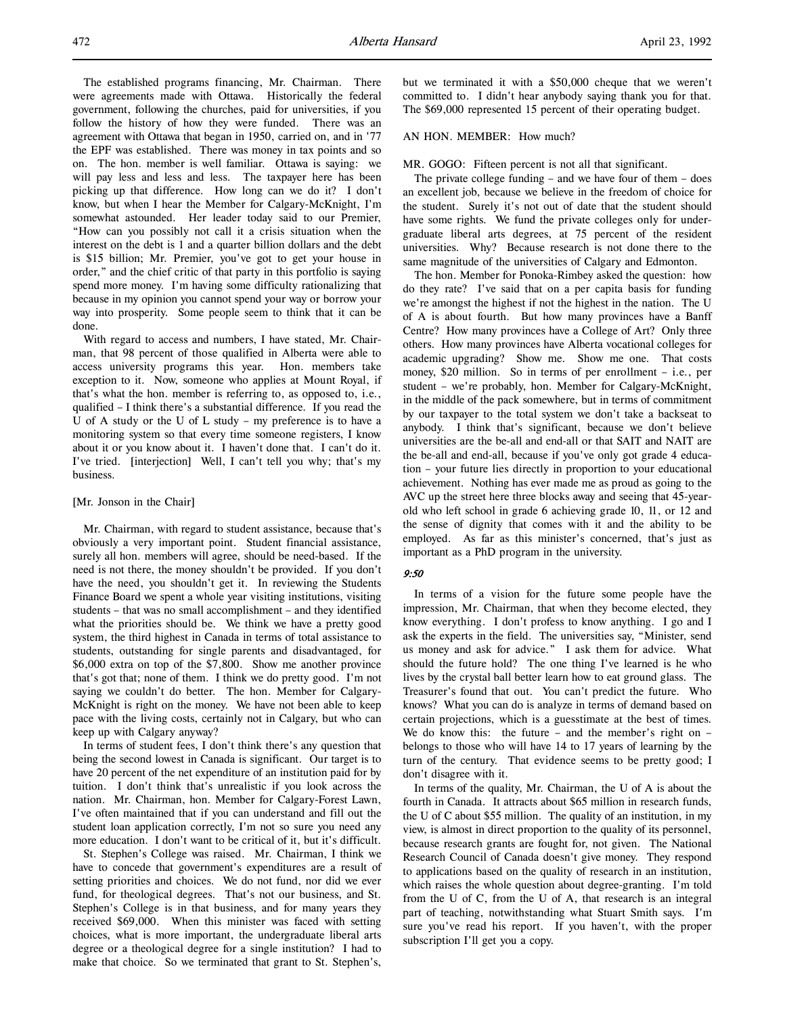The established programs financing, Mr. Chairman. There were agreements made with Ottawa. Historically the federal government, following the churches, paid for universities, if you follow the history of how they were funded. There was an agreement with Ottawa that began in 1950, carried on, and in '77 the EPF was established. There was money in tax points and so on. The hon. member is well familiar. Ottawa is saying: we will pay less and less and less. The taxpayer here has been picking up that difference. How long can we do it? I don't know, but when I hear the Member for Calgary-McKnight, I'm somewhat astounded. Her leader today said to our Premier, "How can you possibly not call it a crisis situation when the interest on the debt is 1 and a quarter billion dollars and the debt is \$15 billion; Mr. Premier, you've got to get your house in order," and the chief critic of that party in this portfolio is saying spend more money. I'm having some difficulty rationalizing that because in my opinion you cannot spend your way or borrow your way into prosperity. Some people seem to think that it can be done.

With regard to access and numbers, I have stated, Mr. Chairman, that 98 percent of those qualified in Alberta were able to access university programs this year. Hon. members take exception to it. Now, someone who applies at Mount Royal, if that's what the hon. member is referring to, as opposed to, i.e., qualified – I think there's a substantial difference. If you read the U of A study or the U of L study – my preference is to have a monitoring system so that every time someone registers, I know about it or you know about it. I haven't done that. I can't do it. I've tried. [interjection] Well, I can't tell you why; that's my business.

### [Mr. Jonson in the Chair]

Mr. Chairman, with regard to student assistance, because that's obviously a very important point. Student financial assistance, surely all hon. members will agree, should be need-based. If the need is not there, the money shouldn't be provided. If you don't have the need, you shouldn't get it. In reviewing the Students Finance Board we spent a whole year visiting institutions, visiting students – that was no small accomplishment – and they identified what the priorities should be. We think we have a pretty good system, the third highest in Canada in terms of total assistance to students, outstanding for single parents and disadvantaged, for \$6,000 extra on top of the \$7,800. Show me another province that's got that; none of them. I think we do pretty good. I'm not saying we couldn't do better. The hon. Member for Calgary-McKnight is right on the money. We have not been able to keep pace with the living costs, certainly not in Calgary, but who can keep up with Calgary anyway?

In terms of student fees, I don't think there's any question that being the second lowest in Canada is significant. Our target is to have 20 percent of the net expenditure of an institution paid for by tuition. I don't think that's unrealistic if you look across the nation. Mr. Chairman, hon. Member for Calgary-Forest Lawn, I've often maintained that if you can understand and fill out the student loan application correctly, I'm not so sure you need any more education. I don't want to be critical of it, but it's difficult.

St. Stephen's College was raised. Mr. Chairman, I think we have to concede that government's expenditures are a result of setting priorities and choices. We do not fund, nor did we ever fund, for theological degrees. That's not our business, and St. Stephen's College is in that business, and for many years they received \$69,000. When this minister was faced with setting choices, what is more important, the undergraduate liberal arts degree or a theological degree for a single institution? I had to make that choice. So we terminated that grant to St. Stephen's,

but we terminated it with a \$50,000 cheque that we weren't committed to. I didn't hear anybody saying thank you for that. The \$69,000 represented 15 percent of their operating budget.

### AN HON. MEMBER: How much?

MR. GOGO: Fifteen percent is not all that significant.

The private college funding – and we have four of them – does an excellent job, because we believe in the freedom of choice for the student. Surely it's not out of date that the student should have some rights. We fund the private colleges only for undergraduate liberal arts degrees, at 75 percent of the resident universities. Why? Because research is not done there to the same magnitude of the universities of Calgary and Edmonton.

The hon. Member for Ponoka-Rimbey asked the question: how do they rate? I've said that on a per capita basis for funding we're amongst the highest if not the highest in the nation. The U of A is about fourth. But how many provinces have a Banff Centre? How many provinces have a College of Art? Only three others. How many provinces have Alberta vocational colleges for academic upgrading? Show me. Show me one. That costs money, \$20 million. So in terms of per enrollment – i.e., per student – we're probably, hon. Member for Calgary-McKnight, in the middle of the pack somewhere, but in terms of commitment by our taxpayer to the total system we don't take a backseat to anybody. I think that's significant, because we don't believe universities are the be-all and end-all or that SAIT and NAIT are the be-all and end-all, because if you've only got grade 4 education – your future lies directly in proportion to your educational achievement. Nothing has ever made me as proud as going to the AVC up the street here three blocks away and seeing that 45-yearold who left school in grade 6 achieving grade 10, 11, or 12 and the sense of dignity that comes with it and the ability to be employed. As far as this minister's concerned, that's just as important as a PhD program in the university.

### 9:50

In terms of a vision for the future some people have the impression, Mr. Chairman, that when they become elected, they know everything. I don't profess to know anything. I go and I ask the experts in the field. The universities say, "Minister, send us money and ask for advice." I ask them for advice. What should the future hold? The one thing I've learned is he who lives by the crystal ball better learn how to eat ground glass. The Treasurer's found that out. You can't predict the future. Who knows? What you can do is analyze in terms of demand based on certain projections, which is a guesstimate at the best of times. We do know this: the future – and the member's right on – belongs to those who will have 14 to 17 years of learning by the turn of the century. That evidence seems to be pretty good; I don't disagree with it.

In terms of the quality, Mr. Chairman, the U of A is about the fourth in Canada. It attracts about \$65 million in research funds, the U of C about \$55 million. The quality of an institution, in my view, is almost in direct proportion to the quality of its personnel, because research grants are fought for, not given. The National Research Council of Canada doesn't give money. They respond to applications based on the quality of research in an institution, which raises the whole question about degree-granting. I'm told from the U of C, from the U of A, that research is an integral part of teaching, notwithstanding what Stuart Smith says. I'm sure you've read his report. If you haven't, with the proper subscription I'll get you a copy.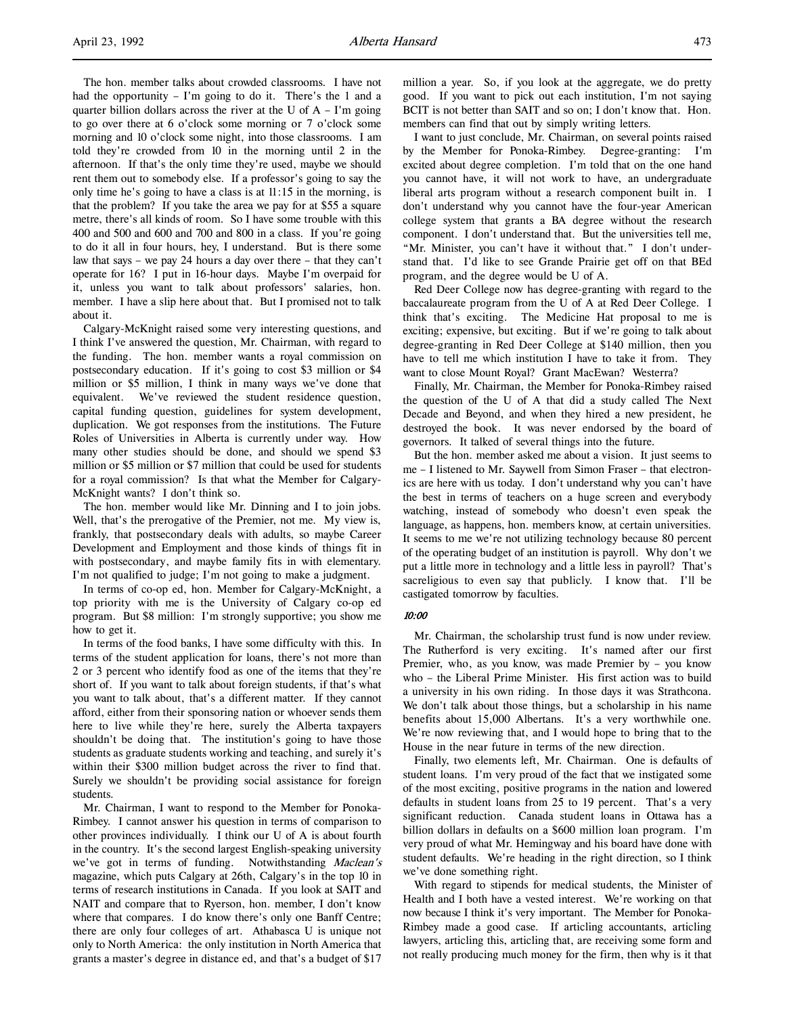The hon. member talks about crowded classrooms. I have not had the opportunity – I'm going to do it. There's the 1 and a quarter billion dollars across the river at the U of  $A - I'm$  going to go over there at 6 o'clock some morning or 7 o'clock some morning and 10 o'clock some night, into those classrooms. I am told they're crowded from 10 in the morning until 2 in the afternoon. If that's the only time they're used, maybe we should rent them out to somebody else. If a professor's going to say the only time he's going to have a class is at 11:15 in the morning, is that the problem? If you take the area we pay for at \$55 a square metre, there's all kinds of room. So I have some trouble with this 400 and 500 and 600 and 700 and 800 in a class. If you're going to do it all in four hours, hey, I understand. But is there some law that says – we pay 24 hours a day over there – that they can't operate for 16? I put in 16-hour days. Maybe I'm overpaid for it, unless you want to talk about professors' salaries, hon. member. I have a slip here about that. But I promised not to talk about it.

Calgary-McKnight raised some very interesting questions, and I think I've answered the question, Mr. Chairman, with regard to the funding. The hon. member wants a royal commission on postsecondary education. If it's going to cost \$3 million or \$4 million or \$5 million, I think in many ways we've done that equivalent. We've reviewed the student residence question, capital funding question, guidelines for system development, duplication. We got responses from the institutions. The Future Roles of Universities in Alberta is currently under way. How many other studies should be done, and should we spend \$3 million or \$5 million or \$7 million that could be used for students for a royal commission? Is that what the Member for Calgary-McKnight wants? I don't think so.

The hon. member would like Mr. Dinning and I to join jobs. Well, that's the prerogative of the Premier, not me. My view is, frankly, that postsecondary deals with adults, so maybe Career Development and Employment and those kinds of things fit in with postsecondary, and maybe family fits in with elementary. I'm not qualified to judge; I'm not going to make a judgment.

In terms of co-op ed, hon. Member for Calgary-McKnight, a top priority with me is the University of Calgary co-op ed program. But \$8 million: I'm strongly supportive; you show me how to get it.

In terms of the food banks, I have some difficulty with this. In terms of the student application for loans, there's not more than 2 or 3 percent who identify food as one of the items that they're short of. If you want to talk about foreign students, if that's what you want to talk about, that's a different matter. If they cannot afford, either from their sponsoring nation or whoever sends them here to live while they're here, surely the Alberta taxpayers shouldn't be doing that. The institution's going to have those students as graduate students working and teaching, and surely it's within their \$300 million budget across the river to find that. Surely we shouldn't be providing social assistance for foreign students.

Mr. Chairman, I want to respond to the Member for Ponoka-Rimbey. I cannot answer his question in terms of comparison to other provinces individually. I think our U of A is about fourth in the country. It's the second largest English-speaking university we've got in terms of funding. Notwithstanding *Maclean's* magazine, which puts Calgary at 26th, Calgary's in the top 10 in terms of research institutions in Canada. If you look at SAIT and NAIT and compare that to Ryerson, hon. member, I don't know where that compares. I do know there's only one Banff Centre; there are only four colleges of art. Athabasca U is unique not only to North America: the only institution in North America that grants a master's degree in distance ed, and that's a budget of \$17

million a year. So, if you look at the aggregate, we do pretty good. If you want to pick out each institution, I'm not saying BCIT is not better than SAIT and so on; I don't know that. Hon. members can find that out by simply writing letters.

I want to just conclude, Mr. Chairman, on several points raised by the Member for Ponoka-Rimbey. Degree-granting: I'm excited about degree completion. I'm told that on the one hand you cannot have, it will not work to have, an undergraduate liberal arts program without a research component built in. I don't understand why you cannot have the four-year American college system that grants a BA degree without the research component. I don't understand that. But the universities tell me, "Mr. Minister, you can't have it without that." I don't understand that. I'd like to see Grande Prairie get off on that BEd program, and the degree would be U of A.

Red Deer College now has degree-granting with regard to the baccalaureate program from the U of A at Red Deer College. I think that's exciting. The Medicine Hat proposal to me is exciting; expensive, but exciting. But if we're going to talk about degree-granting in Red Deer College at \$140 million, then you have to tell me which institution I have to take it from. They want to close Mount Royal? Grant MacEwan? Westerra?

Finally, Mr. Chairman, the Member for Ponoka-Rimbey raised the question of the U of A that did a study called The Next Decade and Beyond, and when they hired a new president, he destroyed the book. It was never endorsed by the board of governors. It talked of several things into the future.

But the hon. member asked me about a vision. It just seems to me – I listened to Mr. Saywell from Simon Fraser – that electronics are here with us today. I don't understand why you can't have the best in terms of teachers on a huge screen and everybody watching, instead of somebody who doesn't even speak the language, as happens, hon. members know, at certain universities. It seems to me we're not utilizing technology because 80 percent of the operating budget of an institution is payroll. Why don't we put a little more in technology and a little less in payroll? That's sacreligious to even say that publicly. I know that. I'll be castigated tomorrow by faculties.

## 10:00

Mr. Chairman, the scholarship trust fund is now under review. The Rutherford is very exciting. It's named after our first Premier, who, as you know, was made Premier by – you know who – the Liberal Prime Minister. His first action was to build a university in his own riding. In those days it was Strathcona. We don't talk about those things, but a scholarship in his name benefits about 15,000 Albertans. It's a very worthwhile one. We're now reviewing that, and I would hope to bring that to the House in the near future in terms of the new direction.

Finally, two elements left, Mr. Chairman. One is defaults of student loans. I'm very proud of the fact that we instigated some of the most exciting, positive programs in the nation and lowered defaults in student loans from 25 to 19 percent. That's a very significant reduction. Canada student loans in Ottawa has a billion dollars in defaults on a \$600 million loan program. I'm very proud of what Mr. Hemingway and his board have done with student defaults. We're heading in the right direction, so I think we've done something right.

With regard to stipends for medical students, the Minister of Health and I both have a vested interest. We're working on that now because I think it's very important. The Member for Ponoka-Rimbey made a good case. If articling accountants, articling lawyers, articling this, articling that, are receiving some form and not really producing much money for the firm, then why is it that